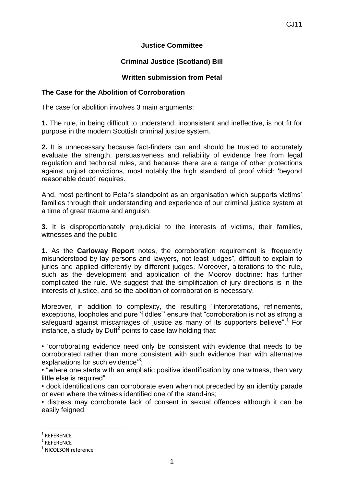## **Justice Committee**

# **Criminal Justice (Scotland) Bill**

## **Written submission from Petal**

### **The Case for the Abolition of Corroboration**

The case for abolition involves 3 main arguments:

**1***.* The rule, in being difficult to understand, inconsistent and ineffective, is not fit for purpose in the modern Scottish criminal justice system.

**2***.* It is unnecessary because fact-finders can and should be trusted to accurately evaluate the strength, persuasiveness and reliability of evidence free from legal regulation and technical rules, and because there are a range of other protections against unjust convictions, most notably the high standard of proof which 'beyond reasonable doubt' requires.

And, most pertinent to Petal's standpoint as an organisation which supports victims' families through their understanding and experience of our criminal justice system at a time of great trauma and anguish:

**3.** It is disproportionately prejudicial to the interests of victims, their families, witnesses and the public

**1.** As the **Carloway Report** notes, the corroboration requirement is "frequently misunderstood by lay persons and lawyers, not least judges", difficult to explain to juries and applied differently by different judges. Moreover, alterations to the rule, such as the development and application of the Moorov doctrine: has further complicated the rule. We suggest that the simplification of jury directions is in the interests of justice, and so the abolition of corroboration is necessary.

Moreover, in addition to complexity, the resulting "interpretations, refinements, exceptions, loopholes and pure 'fiddles"' ensure that "corroboration is not as strong a safeguard against miscarriages of justice as many of its supporters believe".<sup>1</sup> For instance, a study by Duff<sup>2</sup> points to case law holding that:

• 'corroborating evidence need only be consistent with evidence that needs to be corroborated rather than more consistent with such evidence than with alternative explanations for such evidence<sup>3</sup>;

• "where one starts with an emphatic positive identification by one witness, then very little else is required"

• dock identifications can corroborate even when not preceded by an identity parade or even where the witness identified one of the stand-ins;

• distress may corroborate lack of consent in sexual offences although it can be easily feigned;

 $\overline{a}$ 

<sup>1</sup> REFERENCE

<sup>2</sup> REFERENCE

<sup>&</sup>lt;sup>3</sup> NICOLSON reference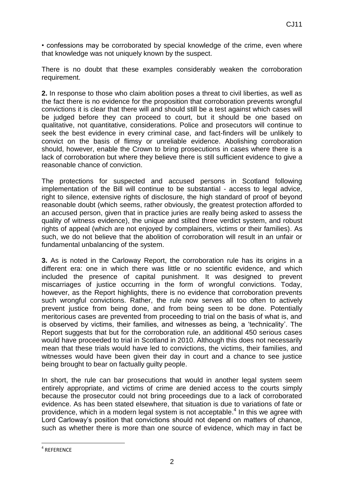• confessions may be corroborated by special knowledge of the crime, even where that knowledge was not uniquely known by the suspect.

There is no doubt that these examples considerably weaken the corroboration requirement.

**2.** In response to those who claim abolition poses a threat to civil liberties, as well as the fact there is no evidence for the proposition that corroboration prevents wrongful convictions it is clear that there will and should still be a test against which cases will be judged before they can proceed to court, but it should be one based on qualitative, not quantitative, considerations. Police and prosecutors will continue to seek the best evidence in every criminal case, and fact-finders will be unlikely to convict on the basis of flimsy or unreliable evidence. Abolishing corroboration should, however, enable the Crown to bring prosecutions in cases where there is a lack of corroboration but where they believe there is still sufficient evidence to give a reasonable chance of conviction.

The protections for suspected and accused persons in Scotland following implementation of the Bill will continue to be substantial - access to legal advice, right to silence, extensive rights of disclosure, the high standard of proof of beyond reasonable doubt (which seems, rather obviously, the greatest protection afforded to an accused person, given that in practice juries are really being asked to assess the quality of witness evidence), the unique and stilted three verdict system, and robust rights of appeal (which are not enjoyed by complainers, victims or their families). As such, we do not believe that the abolition of corroboration will result in an unfair or fundamental unbalancing of the system.

**3.** As is noted in the Carloway Report, the corroboration rule has its origins in a different era: one in which there was little or no scientific evidence, and which included the presence of capital punishment. It was designed to prevent miscarriages of justice occurring in the form of wrongful convictions. Today, however, as the Report highlights, there is no evidence that corroboration prevents such wrongful convictions. Rather, the rule now serves all too often to actively prevent justice from being done, and from being seen to be done. Potentially meritorious cases are prevented from proceeding to trial on the basis of what is, and is observed by victims, their families, and witnesses as being, a 'technicality'. The Report suggests that but for the corroboration rule, an additional 450 serious cases would have proceeded to trial in Scotland in 2010. Although this does not necessarily mean that these trials would have led to convictions, the victims, their families, and witnesses would have been given their day in court and a chance to see justice being brought to bear on factually guilty people.

In short, the rule can bar prosecutions that would in another legal system seem entirely appropriate, and victims of crime are denied access to the courts simply because the prosecutor could not bring proceedings due to a lack of corroborated evidence. As has been stated elsewhere, that situation is due to variations of fate or providence, which in a modern legal system is not acceptable.<sup>4</sup> In this we agree with Lord Carloway's position that convictions should not depend on matters of chance, such as whether there is more than one source of evidence, which may in fact be

 $\overline{a}$ 4 REFERENCE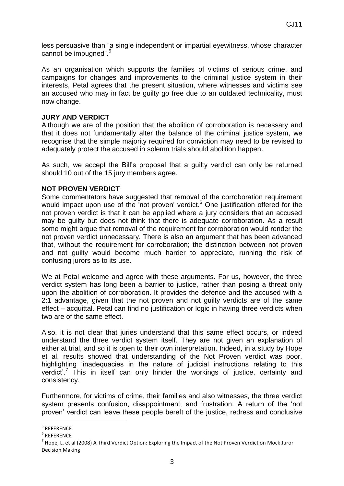less persuasive than "a single independent or impartial eyewitness, whose character cannot be impugned".<sup>5</sup>

As an organisation which supports the families of victims of serious crime, and campaigns for changes and improvements to the criminal justice system in their interests, Petal agrees that the present situation, where witnesses and victims see an accused who may in fact be guilty go free due to an outdated technicality, must now change.

#### **JURY AND VERDICT**

Although we are of the position that the abolition of corroboration is necessary and that it does not fundamentally alter the balance of the criminal justice system, we recognise that the simple majority required for conviction may need to be revised to adequately protect the accused in solemn trials should abolition happen.

As such, we accept the Bill's proposal that a guilty verdict can only be returned should 10 out of the 15 jury members agree.

### **NOT PROVEN VERDICT**

Some commentators have suggested that removal of the corroboration requirement would impact upon use of the 'not proven' verdict. $6$  One justification offered for the not proven verdict is that it can be applied where a jury considers that an accused may be guilty but does not think that there is adequate corroboration. As a result some might argue that removal of the requirement for corroboration would render the not proven verdict unnecessary. There is also an argument that has been advanced that, without the requirement for corroboration; the distinction between not proven and not guilty would become much harder to appreciate, running the risk of confusing jurors as to its use.

We at Petal welcome and agree with these arguments. For us, however, the three verdict system has long been a barrier to justice, rather than posing a threat only upon the abolition of corroboration. It provides the defence and the accused with a 2:1 advantage, given that the not proven and not guilty verdicts are of the same effect – acquittal. Petal can find no justification or logic in having three verdicts when two are of the same effect.

Also, it is not clear that juries understand that this same effect occurs, or indeed understand the three verdict system itself. They are not given an explanation of either at trial, and so it is open to their own interpretation. Indeed, in a study by Hope et al, results showed that understanding of the Not Proven verdict was poor, highlighting 'inadequacies in the nature of judicial instructions relating to this verdict'.<sup>7</sup> This in itself can only hinder the workings of justice, certainty and consistency.

Furthermore, for victims of crime, their families and also witnesses, the three verdict system presents confusion, disappointment, and frustration. A return of the 'not proven' verdict can leave these people bereft of the justice, redress and conclusive

 5 REFERENCE

<sup>6</sup> REFERENCE

 $^7$  Hope, L. et al (2008) A Third Verdict Option: Exploring the Impact of the Not Proven Verdict on Mock Juror Decision Making